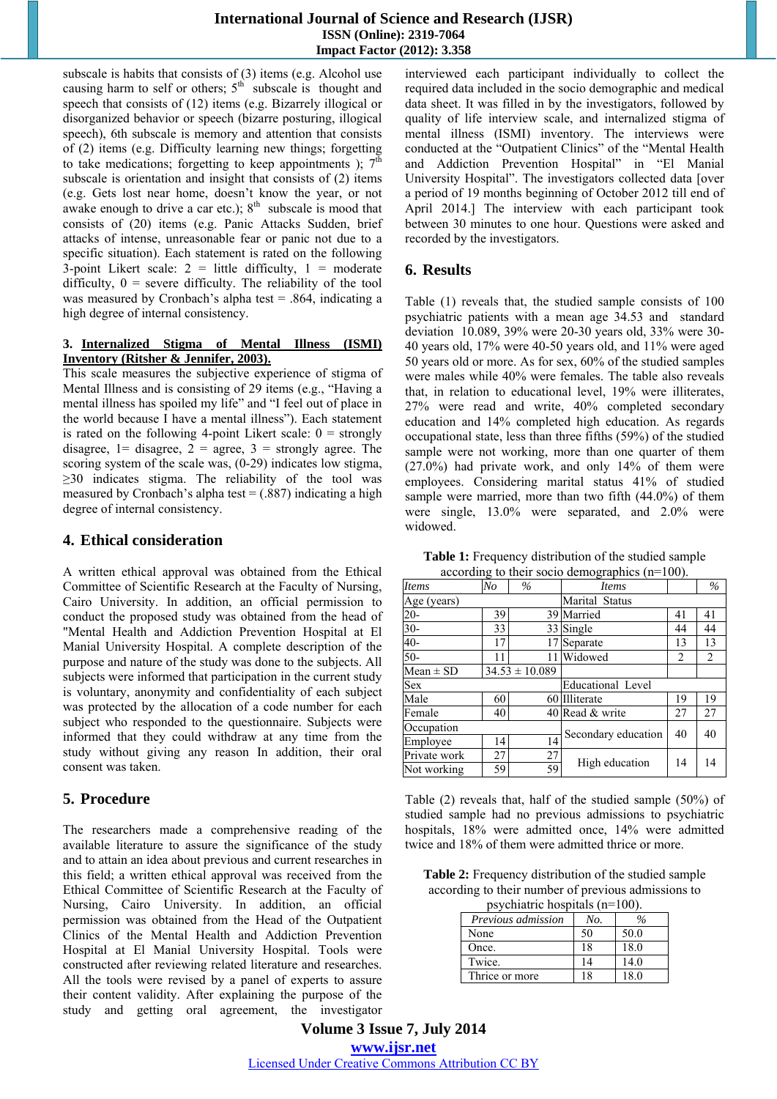subscale is habits that consists of (3) items (e.g. Alcohol use causing harm to self or others;  $5<sup>th</sup>$  subscale is thought and speech that consists of (12) items (e.g. Bizarrely illogical or disorganized behavior or speech (bizarre posturing, illogical speech), 6th subscale is memory and attention that consists of (2) items (e.g. Difficulty learning new things; forgetting to take medications; forgetting to keep appointments );  $7<sup>th</sup>$ subscale is orientation and insight that consists of (2) items (e.g. Gets lost near home, doesn't know the year, or not awake enough to drive a car etc.);  $8<sup>th</sup>$  subscale is mood that consists of (20) items (e.g. Panic Attacks Sudden, brief attacks of intense, unreasonable fear or panic not due to a specific situation). Each statement is rated on the following 3-point Likert scale:  $2 =$  little difficulty,  $1 =$  moderate difficulty,  $0 =$  severe difficulty. The reliability of the tool was measured by Cronbach's alpha test = .864, indicating a high degree of internal consistency.

#### **3. Internalized Stigma of Mental Illness (ISMI) Inventory (Ritsher & Jennifer, 2003).**

This scale measures the subjective experience of stigma of Mental Illness and is consisting of 29 items (e.g., "Having a mental illness has spoiled my life" and "I feel out of place in the world because  $\overline{I}$  have a mental illness"). Each statement is rated on the following 4-point Likert scale:  $0 =$  strongly disagree,  $1=$  disagree,  $2=$  agree,  $3=$  strongly agree. The scoring system of the scale was, (0-29) indicates low stigma,  $\geq$ 30 indicates stigma. The reliability of the tool was measured by Cronbach's alpha test  $= (0.887)$  indicating a high degree of internal consistency.

## **4. Ethical consideration**

A written ethical approval was obtained from the Ethical Committee of Scientific Research at the Faculty of Nursing, Cairo University. In addition, an official permission to conduct the proposed study was obtained from the head of "Mental Health and Addiction Prevention Hospital at El Manial University Hospital. A complete description of the purpose and nature of the study was done to the subjects. All subjects were informed that participation in the current study is voluntary, anonymity and confidentiality of each subject was protected by the allocation of a code number for each subject who responded to the questionnaire. Subjects were informed that they could withdraw at any time from the study without giving any reason In addition, their oral consent was taken.

# **5. Procedure**

The researchers made a comprehensive reading of the available literature to assure the significance of the study and to attain an idea about previous and current researches in this field; a written ethical approval was received from the Ethical Committee of Scientific Research at the Faculty of Nursing, Cairo University. In addition, an official permission was obtained from the Head of the Outpatient Clinics of the Mental Health and Addiction Prevention Hospital at El Manial University Hospital. Tools were constructed after reviewing related literature and researches. All the tools were revised by a panel of experts to assure their content validity. After explaining the purpose of the study and getting oral agreement, the investigator interviewed each participant individually to collect the required data included in the socio demographic and medical data sheet. It was filled in by the investigators, followed by quality of life interview scale, and internalized stigma of mental illness (ISMI) inventory. The interviews were conducted at the "Outpatient Clinics" of the "Mental Health and Addiction Prevention Hospital" in "El Manial University Hospital". The investigators collected data [over a period of 19 months beginning of October 2012 till end of April 2014.] The interview with each participant took between 30 minutes to one hour. Questions were asked and recorded by the investigators.

### **6. Results**

Table (1) reveals that, the studied sample consists of 100 psychiatric patients with a mean age 34.53 and standard deviation 10.089, 39% were 20-30 years old, 33% were 30- 40 years old, 17% were 40-50 years old, and 11% were aged 50 years old or more. As for sex, 60% of the studied samples were males while 40% were females. The table also reveals that, in relation to educational level, 19% were illiterates, 27% were read and write, 40% completed secondary education and 14% completed high education. As regards occupational state, less than three fifths (59%) of the studied sample were not working, more than one quarter of them  $(27.0\%)$  had private work, and only  $14\%$  of them were employees. Considering marital status 41% of studied sample were married, more than two fifth (44.0%) of them were single, 13.0% were separated, and 2.0% were widowed.

**Table 1:** Frequency distribution of the studied sample according to their socio demographics (n=100).

| <b>Items</b>  | No | $\frac{0}{0}$      | <b>Items</b>             |    | $\frac{0}{6}$ |
|---------------|----|--------------------|--------------------------|----|---------------|
| Age (years)   |    |                    | Marital Status           |    |               |
| $20 -$        | 39 |                    | 39 Married               | 41 | 41            |
| $30 -$        | 33 |                    | 33 Single                | 44 | 44            |
| $40-$         | 17 | 17                 | Separate                 | 13 | 13            |
| $50-$         | 11 | 11                 | Widowed                  | 2  | 2             |
| Mean $\pm$ SD |    | $34.53 \pm 10.089$ |                          |    |               |
| <b>Sex</b>    |    |                    | <b>Educational Level</b> |    |               |
| Male          | 60 |                    | 60 Illiterate<br>19      |    | 19            |
| Female        | 40 |                    | 40 Read & write          | 27 | 27            |
| Occupation    |    |                    |                          | 40 | 40            |
| Employee      | 14 | 14                 | Secondary education      |    |               |
| Private work  | 27 | 27                 |                          |    | 14            |
| Not working   | 59 | 59                 | High education<br>14     |    |               |

Table (2) reveals that, half of the studied sample (50%) of studied sample had no previous admissions to psychiatric hospitals, 18% were admitted once, 14% were admitted twice and 18% of them were admitted thrice or more.

**Table 2:** Frequency distribution of the studied sample according to their number of previous admissions to psychiatric hospitals (n=100).

| $\mu$ s yumatriu nuspitais (n=100). |     |      |  |  |  |  |
|-------------------------------------|-----|------|--|--|--|--|
| <i>Previous admission</i>           | No. | ℅    |  |  |  |  |
| None                                | 50  | 50.0 |  |  |  |  |
| Once.                               | 18  | 18.0 |  |  |  |  |
| Twice.                              | 14  | 14.0 |  |  |  |  |
| Thrice or more                      | 18  | 18.0 |  |  |  |  |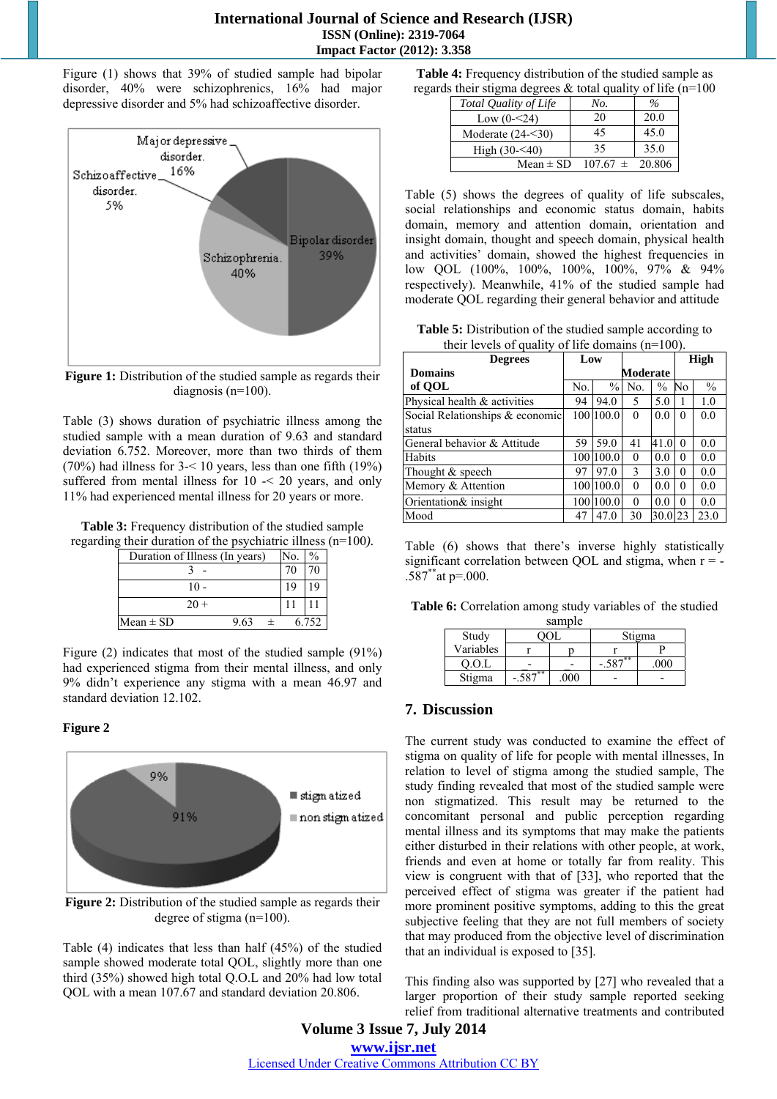Figure (1) shows that 39% of studied sample had bipolar disorder, 40% were schizophrenics, 16% had major depressive disorder and 5% had schizoaffective disorder.



**Figure 1:** Distribution of the studied sample as regards their diagnosis (n=100).

Table (3) shows duration of psychiatric illness among the studied sample with a mean duration of 9.63 and standard deviation 6.752. Moreover, more than two thirds of them (70%) had illness for 3-< 10 years, less than one fifth (19%) suffered from mental illness for  $10 \le 20$  years, and only 11% had experienced mental illness for 20 years or more.

**Table 3:** Frequency distribution of the studied sample regarding their duration of the psychiatric illness (n=100*).* 

| Duration of Illness (In years) |        |      | No. |       |
|--------------------------------|--------|------|-----|-------|
|                                |        |      |     |       |
|                                |        |      |     |       |
|                                | $20 +$ |      |     |       |
| $Mean \pm SD$                  |        | 9.63 |     | 6.752 |

Figure (2) indicates that most of the studied sample (91%) had experienced stigma from their mental illness, and only 9% didn't experience any stigma with a mean 46.97 and standard deviation 12.102.

### **Figure 2**



**Figure 2:** Distribution of the studied sample as regards their degree of stigma (n=100).

Table (4) indicates that less than half (45%) of the studied sample showed moderate total QOL, slightly more than one third (35%) showed high total Q.O.L and 20% had low total QOL with a mean 107.67 and standard deviation 20.806.

| <b>Table 4:</b> Frequency distribution of the studied sample as |  |
|-----------------------------------------------------------------|--|
| regards their stigma degrees $&$ total quality of life (n=100   |  |

| Total Quality of Life | No.                 | $\frac{0}{6}$ |
|-----------------------|---------------------|---------------|
| Low $(0 - 24)$        | 20                  | 20.0          |
| Moderate $(24 - 30)$  | 45                  | 45.0          |
| High $(30 - 40)$      | 35                  | 35.0          |
| Mean $\pm$ SD         | $107.67 \pm 20.806$ |               |

Table (5) shows the degrees of quality of life subscales, social relationships and economic status domain, habits domain, memory and attention domain, orientation and insight domain, thought and speech domain, physical health and activities' domain, showed the highest frequencies in low QOL (100%, 100%, 100%, 100%, 97% & 94% respectively). Meanwhile, 41% of the studied sample had moderate QOL regarding their general behavior and attitude

Table 5: Distribution of the studied sample according to their levels of quality of life domains (n=100).

| <b>Degrees</b>                  |                | Low           |               |               |          | <b>High</b>   |  |
|---------------------------------|----------------|---------------|---------------|---------------|----------|---------------|--|
| <b>Domains</b>                  |                | Moderate      |               |               |          |               |  |
| of OOL                          | N <sub>o</sub> | $\frac{0}{0}$ | No.           | $\frac{0}{0}$ | No       | $\frac{0}{0}$ |  |
| Physical health & activities    | 94             | 94.0          | 5             | 5.0           |          | 1.0           |  |
| Social Relationships & economic |                | 1001100.0     | $\theta$      | 0.0           | $\Omega$ | 0.0           |  |
| status                          |                |               |               |               |          |               |  |
| General behavior & Attitude     | 59             | 59.0          | 41            | 41.0          | $\Omega$ | 0.0           |  |
| Habits                          |                | 100 100.0     | $\theta$      | 0.0           | $\Omega$ | 0.0           |  |
| Thought & speech                | 97             | 97.0          | $\mathcal{E}$ | 3.0           | $\theta$ | 0.0           |  |
| Memory & Attention              |                | 100 100.0     | $\Omega$      | 0.0           | $\Omega$ | 0.0           |  |
| Orientation& insight            | 100            | 100.0         | $\Omega$      | 0.0           | $\Omega$ | 0.0           |  |
| Mood                            | 47             | 47.0          | 30            | 30.0          | 23       | 23.0          |  |

Table (6) shows that there's inverse highly statistically significant correlation between QOL and stigma, when  $r = .587^*$ at p=.000.

|  |  |  |  |  |  |  |  | Table 6: Correlation among study variables of the studied |  |
|--|--|--|--|--|--|--|--|-----------------------------------------------------------|--|
|--|--|--|--|--|--|--|--|-----------------------------------------------------------|--|

|           |       | sample |                    |  |  |
|-----------|-------|--------|--------------------|--|--|
| Study     |       |        | Stigma             |  |  |
| Variables |       |        |                    |  |  |
| 0.0.L     |       |        | ີ່ <del>−</del> ** |  |  |
| Stigma    | $n^*$ |        |                    |  |  |

# **7. Discussion**

The current study was conducted to examine the effect of stigma on quality of life for people with mental illnesses, In relation to level of stigma among the studied sample, The study finding revealed that most of the studied sample were non stigmatized. This result may be returned to the concomitant personal and public perception regarding mental illness and its symptoms that may make the patients either disturbed in their relations with other people, at work, friends and even at home or totally far from reality. This view is congruent with that of [33], who reported that the perceived effect of stigma was greater if the patient had more prominent positive symptoms, adding to this the great subjective feeling that they are not full members of society that may produced from the objective level of discrimination that an individual is exposed to [35].

This finding also was supported by [27] who revealed that a larger proportion of their study sample reported seeking relief from traditional alternative treatments and contributed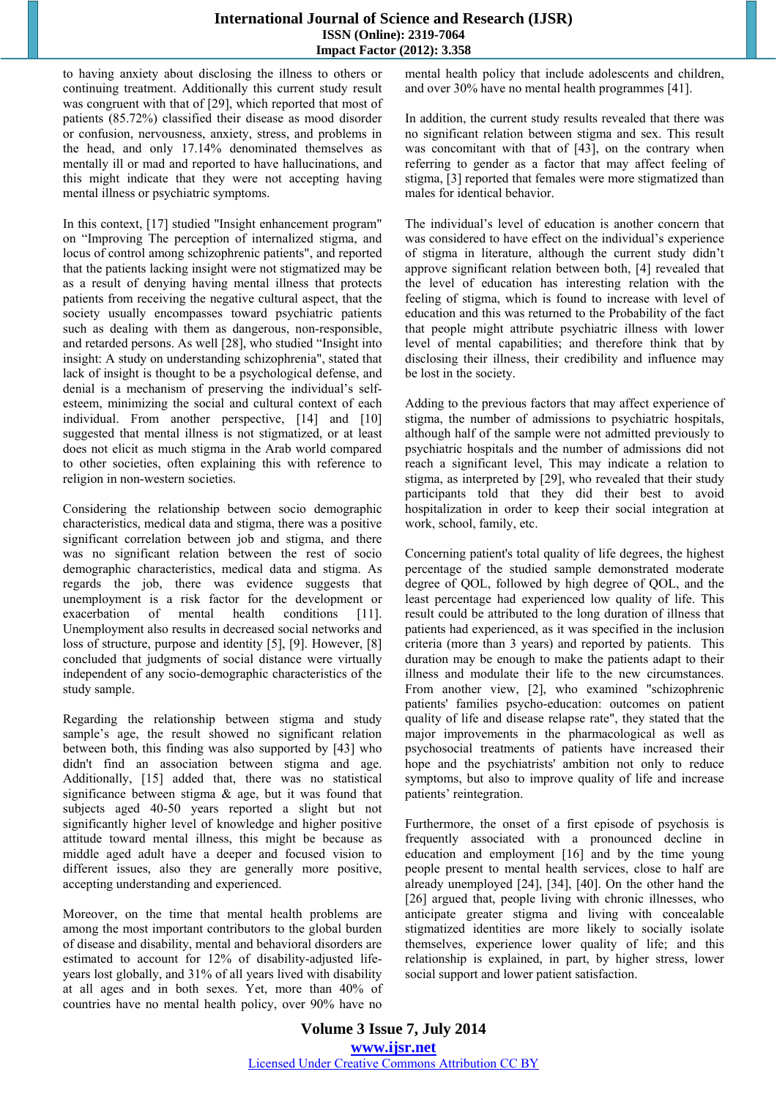to having anxiety about disclosing the illness to others or continuing treatment. Additionally this current study result was congruent with that of [29], which reported that most of patients (85.72%) classified their disease as mood disorder or confusion, nervousness, anxiety, stress, and problems in the head, and only 17.14% denominated themselves as mentally ill or mad and reported to have hallucinations, and this might indicate that they were not accepting having mental illness or psychiatric symptoms.

In this context, [17] studied "Insight enhancement program" on "Improving The perception of internalized stigma, and locus of control among schizophrenic patients", and reported that the patients lacking insight were not stigmatized may be as a result of denying having mental illness that protects patients from receiving the negative cultural aspect, that the society usually encompasses toward psychiatric patients such as dealing with them as dangerous, non-responsible, and retarded persons. As well [28], who studied "Insight into insight: A study on understanding schizophrenia", stated that lack of insight is thought to be a psychological defense, and denial is a mechanism of preserving the individual's selfesteem, minimizing the social and cultural context of each individual. From another perspective, [14] and [10] suggested that mental illness is not stigmatized, or at least does not elicit as much stigma in the Arab world compared to other societies, often explaining this with reference to religion in non-western societies.

Considering the relationship between socio demographic characteristics, medical data and stigma, there was a positive significant correlation between job and stigma, and there was no significant relation between the rest of socio demographic characteristics, medical data and stigma. As regards the job, there was evidence suggests that unemployment is a risk factor for the development or exacerbation of mental health conditions [11]. Unemployment also results in decreased social networks and loss of structure, purpose and identity [5], [9]. However, [8] concluded that judgments of social distance were virtually independent of any socio-demographic characteristics of the study sample.

Regarding the relationship between stigma and study sample's age, the result showed no significant relation between both, this finding was also supported by [43] who didn't find an association between stigma and age. Additionally, [15] added that, there was no statistical significance between stigma  $\&$  age, but it was found that subjects aged 40-50 years reported a slight but not significantly higher level of knowledge and higher positive attitude toward mental illness, this might be because as middle aged adult have a deeper and focused vision to different issues, also they are generally more positive, accepting understanding and experienced.

Moreover, on the time that mental health problems are among the most important contributors to the global burden of disease and disability, mental and behavioral disorders are estimated to account for 12% of disability-adjusted lifeyears lost globally, and 31% of all years lived with disability at all ages and in both sexes. Yet, more than 40% of countries have no mental health policy, over 90% have no

mental health policy that include adolescents and children, and over 30% have no mental health programmes [41].

In addition, the current study results revealed that there was no significant relation between stigma and sex. This result was concomitant with that of [43], on the contrary when referring to gender as a factor that may affect feeling of stigma, [3] reported that females were more stigmatized than males for identical behavior.

The individual's level of education is another concern that was considered to have effect on the individual's experience of stigma in literature, although the current study didn't approve significant relation between both, [4] revealed that the level of education has interesting relation with the feeling of stigma, which is found to increase with level of education and this was returned to the Probability of the fact that people might attribute psychiatric illness with lower level of mental capabilities; and therefore think that by disclosing their illness, their credibility and influence may be lost in the society.

Adding to the previous factors that may affect experience of stigma, the number of admissions to psychiatric hospitals, although half of the sample were not admitted previously to psychiatric hospitals and the number of admissions did not reach a significant level, This may indicate a relation to stigma, as interpreted by [29], who revealed that their study participants told that they did their best to avoid hospitalization in order to keep their social integration at work, school, family, etc.

Concerning patient's total quality of life degrees, the highest percentage of the studied sample demonstrated moderate degree of QOL, followed by high degree of QOL, and the least percentage had experienced low quality of life. This result could be attributed to the long duration of illness that patients had experienced, as it was specified in the inclusion criteria (more than 3 years) and reported by patients. This duration may be enough to make the patients adapt to their illness and modulate their life to the new circumstances. From another view, [2], who examined "schizophrenic patients' families psycho-education: outcomes on patient quality of life and disease relapse rate", they stated that the major improvements in the pharmacological as well as psychosocial treatments of patients have increased their hope and the psychiatrists' ambition not only to reduce symptoms, but also to improve quality of life and increase patients' reintegration.

Furthermore, the onset of a first episode of psychosis is frequently associated with a pronounced decline in education and employment [16] and by the time young people present to mental health services, close to half are already unemployed [24], [34], [40]. On the other hand the [26] argued that, people living with chronic illnesses, who anticipate greater stigma and living with concealable stigmatized identities are more likely to socially isolate themselves, experience lower quality of life; and this relationship is explained, in part, by higher stress, lower social support and lower patient satisfaction.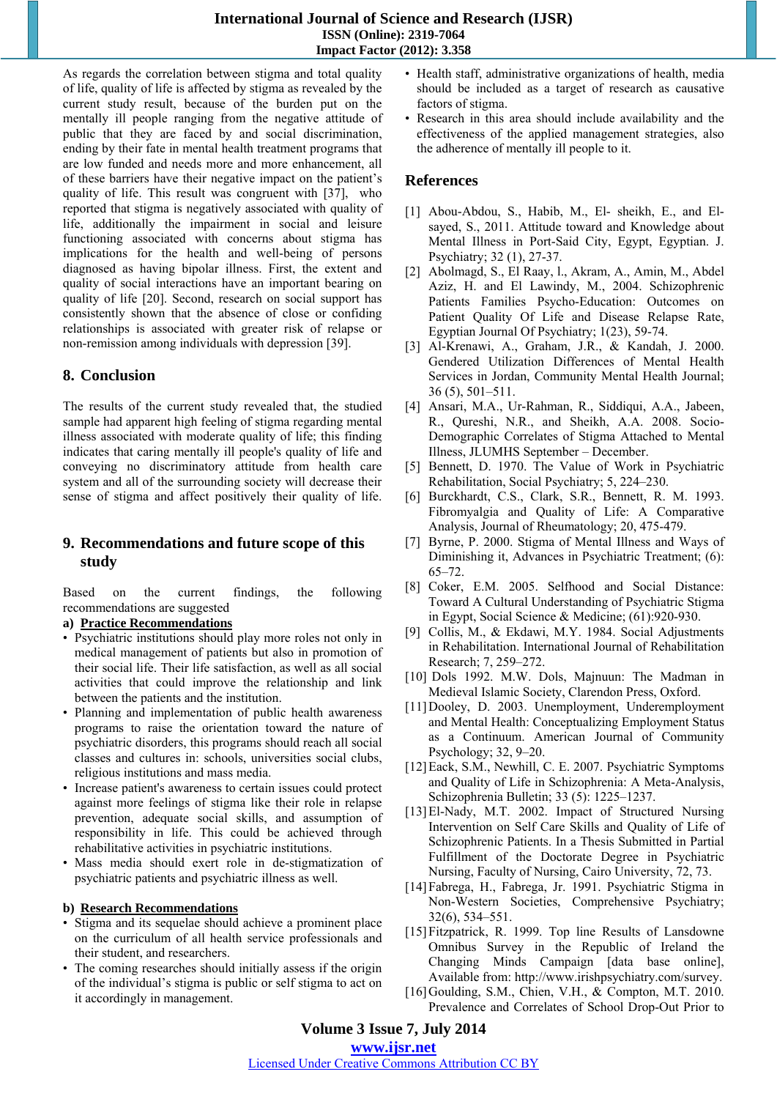As regards the correlation between stigma and total quality of life, quality of life is affected by stigma as revealed by the current study result, because of the burden put on the mentally ill people ranging from the negative attitude of public that they are faced by and social discrimination, ending by their fate in mental health treatment programs that are low funded and needs more and more enhancement, all of these barriers have their negative impact on the patient's quality of life. This result was congruent with [37], who reported that stigma is negatively associated with quality of life, additionally the impairment in social and leisure functioning associated with concerns about stigma has implications for the health and well-being of persons diagnosed as having bipolar illness. First, the extent and quality of social interactions have an important bearing on quality of life [20]. Second, research on social support has consistently shown that the absence of close or confiding relationships is associated with greater risk of relapse or non-remission among individuals with depression [39].

# **8. Conclusion**

The results of the current study revealed that, the studied sample had apparent high feeling of stigma regarding mental illness associated with moderate quality of life; this finding indicates that caring mentally ill people's quality of life and conveying no discriminatory attitude from health care system and all of the surrounding society will decrease their sense of stigma and affect positively their quality of life.

## **9. Recommendations and future scope of this study**

Based on the current findings, the following recommendations are suggested

#### **a) Practice Recommendations**

- Psychiatric institutions should play more roles not only in medical management of patients but also in promotion of their social life. Their life satisfaction, as well as all social activities that could improve the relationship and link between the patients and the institution.
- Planning and implementation of public health awareness programs to raise the orientation toward the nature of psychiatric disorders, this programs should reach all social classes and cultures in: schools, universities social clubs, religious institutions and mass media.
- Increase patient's awareness to certain issues could protect against more feelings of stigma like their role in relapse prevention, adequate social skills, and assumption of responsibility in life. This could be achieved through rehabilitative activities in psychiatric institutions.
- Mass media should exert role in de-stigmatization of psychiatric patients and psychiatric illness as well.

#### **b) Research Recommendations**

- Stigma and its sequelae should achieve a prominent place on the curriculum of all health service professionals and their student, and researchers.
- The coming researches should initially assess if the origin of the individual's stigma is public or self stigma to act on it accordingly in management.
- Health staff, administrative organizations of health, media should be included as a target of research as causative factors of stigma.
- Research in this area should include availability and the effectiveness of the applied management strategies, also the adherence of mentally ill people to it.

### **References**

- [1] Abou-Abdou, S., Habib, M., El- sheikh, E., and Elsayed, S., 2011. Attitude toward and Knowledge about Mental Illness in Port-Said City, Egypt, Egyptian. J. Psychiatry; 32 (1), 27-37.
- [2] Abolmagd, S., El Raay, l., Akram, A., Amin, M., Abdel Aziz, H. and El Lawindy, M., 2004. Schizophrenic Patients Families Psycho-Education: Outcomes on Patient Quality Of Life and Disease Relapse Rate, Egyptian Journal Of Psychiatry; 1(23), 59-74.
- [3] Al-Krenawi, A., Graham, J.R., & Kandah, J. 2000. Gendered Utilization Differences of Mental Health Services in Jordan, Community Mental Health Journal; 36 (5), 501–511.
- [4] Ansari, M.A., Ur-Rahman, R., Siddiqui, A.A., Jabeen, R., Qureshi, N.R., and Sheikh, A.A. 2008. Socio-Demographic Correlates of Stigma Attached to Mental Illness, JLUMHS September – December.
- [5] Bennett, D. 1970. The Value of Work in Psychiatric Rehabilitation, Social Psychiatry; 5, 224–230.
- [6] Burckhardt, C.S., Clark, S.R., Bennett, R. M. 1993. Fibromyalgia and Quality of Life: A Comparative Analysis, Journal of Rheumatology; 20, 475-479.
- [7] Byrne, P. 2000. Stigma of Mental Illness and Ways of Diminishing it, Advances in Psychiatric Treatment; (6): 65–72.
- [8] Coker, E.M. 2005. Selfhood and Social Distance: Toward A Cultural Understanding of Psychiatric Stigma in Egypt, Social Science & Medicine; (61):920-930.
- [9] Collis, M., & Ekdawi, M.Y. 1984. Social Adjustments in Rehabilitation. International Journal of Rehabilitation Research; 7, 259–272.
- [10] Dols 1992. M.W. Dols, Majnuun: The Madman in Medieval Islamic Society, Clarendon Press, Oxford.
- [11]Dooley, D. 2003. Unemployment, Underemployment and Mental Health: Conceptualizing Employment Status as a Continuum. American Journal of Community Psychology; 32, 9–20.
- [12]Eack, S.M., Newhill, C. E. 2007. Psychiatric Symptoms and Quality of Life in Schizophrenia: A Meta-Analysis, Schizophrenia Bulletin; 33 (5): 1225–1237.
- [13]El-Nady, M.T. 2002. Impact of Structured Nursing Intervention on Self Care Skills and Quality of Life of Schizophrenic Patients. In a Thesis Submitted in Partial Fulfillment of the Doctorate Degree in Psychiatric Nursing, Faculty of Nursing, Cairo University, 72, 73.
- [14]Fabrega, H., Fabrega, Jr. 1991. Psychiatric Stigma in Non-Western Societies, Comprehensive Psychiatry; 32(6), 534–551.
- [15] Fitzpatrick, R. 1999. Top line Results of Lansdowne Omnibus Survey in the Republic of Ireland the Changing Minds Campaign [data base online], Available from: http://www.irishpsychiatry.com/survey.
- [16] Goulding, S.M., Chien, V.H., & Compton, M.T. 2010. Prevalence and Correlates of School Drop-Out Prior to

### **Volume 3 Issue 7, July 2014 www.ijsr.net**